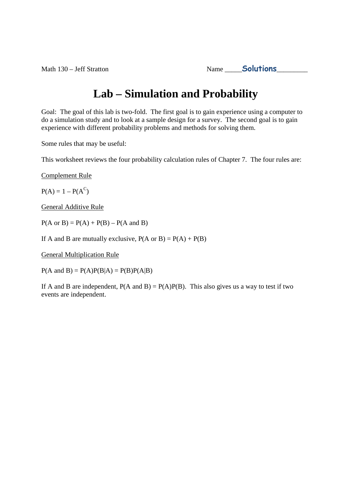```
Math 130 – Jeff Stratton Name Solutions
```
# **Lab – Simulation and Probability**

Goal: The goal of this lab is two-fold. The first goal is to gain experience using a computer to do a simulation study and to look at a sample design for a survey. The second goal is to gain experience with different probability problems and methods for solving them.

Some rules that may be useful:

This worksheet reviews the four probability calculation rules of Chapter 7. The four rules are:

Complement Rule

 $P(A) = 1 - P(A^C)$ 

General Additive Rule

 $P(A \text{ or } B) = P(A) + P(B) - P(A \text{ and } B)$ 

If A and B are mutually exclusive,  $P(A \text{ or } B) = P(A) + P(B)$ 

General Multiplication Rule

 $P(A \text{ and } B) = P(A)P(B|A) = P(B)P(A|B)$ 

If A and B are independent,  $P(A \text{ and } B) = P(A)P(B)$ . This also gives us a way to test if two events are independent.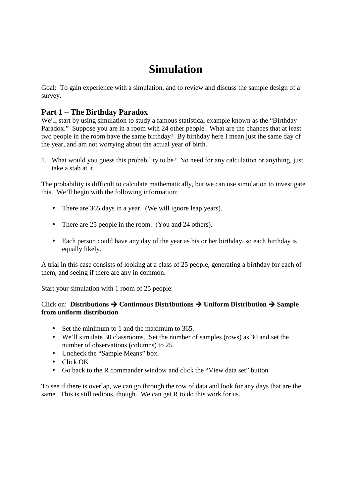# **Simulation**

Goal: To gain experience with a simulation, and to review and discuss the sample design of a survey.

## **Part 1 – The Birthday Paradox**

We'll start by using simulation to study a famous statistical example known as the "Birthday" Paradox." Suppose you are in a room with 24 other people. What are the chances that at least two people in the room have the same birthday? By birthday here I mean just the same day of the year, and am not worrying about the actual year of birth.

1. What would you guess this probability to be? No need for any calculation or anything, just take a stab at it.

The probability is difficult to calculate mathematically, but we can use simulation to investigate this. We'll begin with the following information:

- There are 365 days in a year. (We will ignore leap years).
- There are 25 people in the room. (You and 24 others).
- Each person could have any day of the year as his or her birthday, so each birthday is equally likely.

A trial in this case consists of looking at a class of 25 people, generating a birthday for each of them, and seeing if there are any in common.

Start your simulation with 1 room of 25 people:

### Click on: **Distributions Continuous Distributions Uniform Distribution Sample from uniform distribution**

- Set the minimum to 1 and the maximum to 365.
- We'll simulate 30 classrooms. Set the number of samples (rows) as 30 and set the number of observations (columns) to 25.
- Uncheck the "Sample Means" box.
- Click OK
- Go back to the R commander window and click the "View data set" button

To see if there is overlap, we can go through the row of data and look for any days that are the same. This is still tedious, though. We can get R to do this work for us.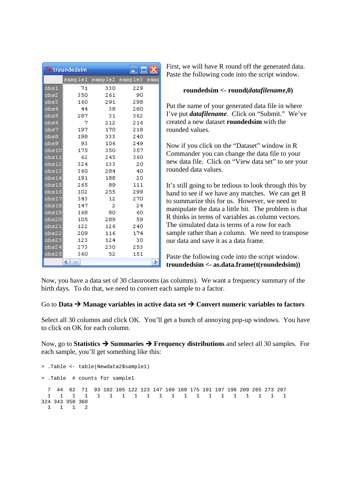|               | 7% troundedsim |         | - 10 ×  |     |
|---------------|----------------|---------|---------|-----|
|               | sample1        | sample2 | sample3 | sam |
| $_{\rm obs1}$ | 71             | 330     | 229     |     |
| obs2          | 350            | 261     | 90      |     |
| obs3          | 160            | 291     | 298     |     |
| obs4          | 44             | 38      | 280     |     |
| obs5          | 287            | 31      | 362     |     |
| obs6          | 7              | 212     | 216     |     |
| obs7          | 197            | 170     | 218     |     |
| obs8          | 198            | 333     | 240     |     |
| obs9          | 93             | 106     | 249     |     |
| obs10         | 175            | 350     | 357     |     |
| obs11         | 62             | 245     | 360     |     |
| obs12         | 324            | 133     | 20      |     |
| obs13         | 360            | 284     | 40      |     |
| obs14         | 191            | 188     | 20      |     |
| obs15         | 265            | 89      | 111     |     |
| obs16         | 102            | 255     | 299     |     |
| obs17         | 343            | 12      | 270     |     |
| obs18         | 147            | 2       | 24      |     |
| obs19         | 168            | 80      | 60      |     |
| obs20         | 105            | 289     | 59      |     |
| obs21         | 122            | 126     | 240     |     |
| obs22         | 209            | 116     | 174     |     |
| obs23         | 123            | 124     | 30      |     |
| obs24         | 273            | 230     | 253     |     |
| obs25         | 360            | 52      | 151     |     |
|               | ≺∣<br>III      |         |         |     |

First, we will have R round off the generated data. Paste the following code into the script window.

#### **roundedsim <- round(***datafilename***,0)**

Put the name of your generated data file in where I've put *datafilename*. Click on "Submit." We've created a new dataset **roundedsim** with the rounded values.

Now if you click on the "Dataset" window in R Commander you can change the data file to your new data file. Click on "View data set" to see your rounded data values.

It's still going to be tedious to look through this by hand to see if we have any matches. We can get R to summarize this for us. However, we need to manipulate the data a little bit. The problem is that R thinks in terms of variables as column vectors. The simulated data is terms of a row for each sample rather than a column. We need to transpose our data and save it as a data frame.

Paste the following code into the script window. **troundedsim <- as.data.frame(t(roundedsim))**

Now, you have a data set of 30 classrooms (as columns). We want a frequency summary of the birth days. To do that, we need to convert each sample to a factor.

#### Go to **Data**  $\rightarrow$  **Manage variables in active data set**  $\rightarrow$  **Convert numeric variables to factors**

Select all 30 columns and click OK. You'll get a bunch of annoying pop-up windows. You have to click on OK for each column.

Now, go to **Statistics Summaries Frequency distributions** and select all 30 samples. For each sample, you'll get something like this:

```
> .Table <- table(Newdata2$sample1) 
> .Table # counts for sample1 
  7 44 62 71 93 102 105 122 123 147 160 168 175 191 197 198 209 265 273 287 
  1 1 1 1 1 1 1 1 1 1 1 1 1 1 1 1 1 1 1 1 
324 343 350 360 
  1 1 1 2
```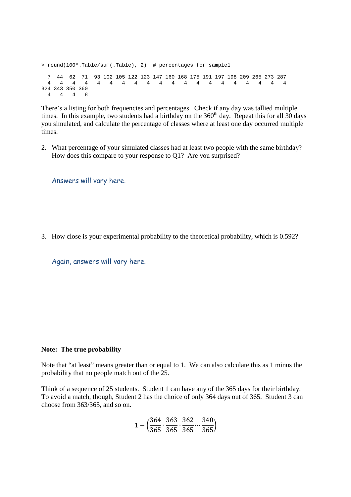```
> round(100*.Table/sum(.Table), 2) # percentages for sample1 
  7 44 62 71 93 102 105 122 123 147 160 168 175 191 197 198 209 265 273 287 
  4 4 4 4 4 4 4 4 4 4 4 4 4 4 4 4 4 4 4 4 
324 343 350 360 
  4 4 4 8
```
There's a listing for both frequencies and percentages. Check if any day was tallied multiple times. In this example, two students had a birthday on the  $360<sup>th</sup>$  day. Repeat this for all  $30$  days you simulated, and calculate the percentage of classes where at least one day occurred multiple times.

2. What percentage of your simulated classes had at least two people with the same birthday? How does this compare to your response to Q1? Are you surprised?

Answers will vary here.

3. How close is your experimental probability to the theoretical probability, which is 0.592?

Again, answers will vary here.

#### **Note: The true probability**

Note that "at least" means greater than or equal to 1. We can also calculate this as 1 minus the probability that no people match out of the 25.

Think of a sequence of 25 students. Student 1 can have any of the 365 days for their birthday. To avoid a match, though, Student 2 has the choice of only 364 days out of 365. Student 3 can choose from 363/365, and so on.

$$
1 - \left(\frac{364}{365}, \frac{363}{365}, \frac{362}{365}, \frac{340}{365}\right)
$$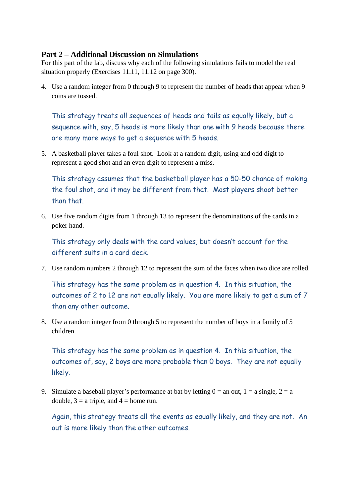### **Part 2 – Additional Discussion on Simulations**

For this part of the lab, discuss why each of the following simulations fails to model the real situation properly (Exercises 11.11, 11.12 on page 300).

4. Use a random integer from 0 through 9 to represent the number of heads that appear when 9 coins are tossed.

This strategy treats all sequences of heads and tails as equally likely, but a sequence with, say, 5 heads is more likely than one with 9 heads because there are many more ways to get a sequence with 5 heads.

5. A basketball player takes a foul shot. Look at a random digit, using and odd digit to represent a good shot and an even digit to represent a miss.

This strategy assumes that the basketball player has a 50-50 chance of making the foul shot, and it may be different from that. Most players shoot better than that.

6. Use five random digits from 1 through 13 to represent the denominations of the cards in a poker hand.

This strategy only deals with the card values, but doesn't account for the different suits in a card deck.

7. Use random numbers 2 through 12 to represent the sum of the faces when two dice are rolled.

This strategy has the same problem as in question 4. In this situation, the outcomes of 2 to 12 are not equally likely. You are more likely to get a sum of 7 than any other outcome.

8. Use a random integer from 0 through 5 to represent the number of boys in a family of 5 children.

This strategy has the same problem as in question 4. In this situation, the outcomes of, say, 2 boys are more probable than 0 boys. They are not equally likely.

9. Simulate a baseball player's performance at bat by letting  $0 =$  an out,  $1 =$  a single,  $2 =$  a double,  $3 = a$  triple, and  $4 = home$  run.

Again, this strategy treats all the events as equally likely, and they are not. An out is more likely than the other outcomes.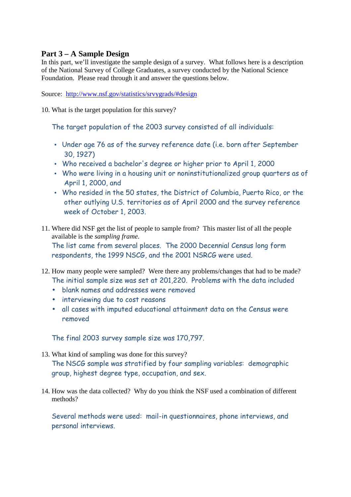## **Part 3 – A Sample Design**

In this part, we'll investigate the sample design of a survey. What follows here is a description of the National Survey of College Graduates, a survey conducted by the National Science Foundation. Please read through it and answer the questions below.

Source: http://www.nsf.gov/statistics/srvygrads/#design

10. What is the target population for this survey?

The target population of the 2003 survey consisted of all individuals:

- Under age 76 as of the survey reference date (i.e. born after September 30, 1927)
- Who received a bachelor's degree or higher prior to April 1, 2000
- Who were living in a housing unit or noninstitutionalized group quarters as of April 1, 2000, and
- Who resided in the 50 states, the District of Columbia, Puerto Rico, or the other outlying U.S. territories as of April 2000 and the survey reference week of October 1, 2003.
- 11. Where did NSF get the list of people to sample from? This master list of all the people available is the *sampling frame*. The list came from several places. The 2000 Decennial Census long form respondents, the 1999 NSCG, and the 2001 NSRCG were used.
- 12. How many people were sampled? Were there any problems/changes that had to be made? The initial sample size was set at 201,220. Problems with the data included
	- blank names and addresses were removed
	- interviewing due to cost reasons
	- all cases with imputed educational attainment data on the Census were removed

The final 2003 survey sample size was 170,797.

- 13. What kind of sampling was done for this survey? The NSCG sample was stratified by four sampling variables: demographic group, highest degree type, occupation, and sex.
- 14. How was the data collected? Why do you think the NSF used a combination of different methods?

Several methods were used: mail-in questionnaires, phone interviews, and personal interviews.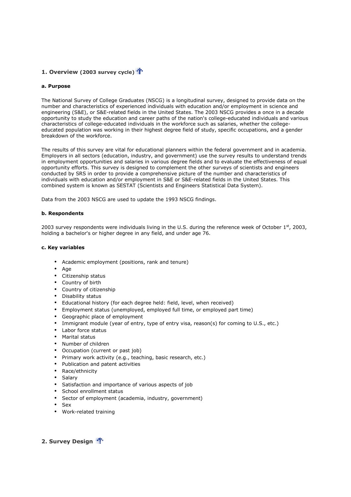#### **1. Overview (2003 survey cycle)**

#### **a. Purpose**

The National Survey of College Graduates (NSCG) is a longitudinal survey, designed to provide data on the number and characteristics of experienced individuals with education and/or employment in science and The National Survey of College Graduates (NSCG) is a longitudinal survey, designed to provide data on the<br>number and characteristics of experienced individuals with education and/or employment in science and<br>engineering (S opportunity to study the education and career paths of the nation's college college-educated individuals and various characteristics of college-educated individuals in the workforce such as salaries, whether the collegeeducated population was working in their highest degree field of study, specific occupations, and a gender breakdown of the workforce.

The results of this survey are vital for educational planners within the federal government and in academia. Employers in all sectors (education, industry, and government) use the survey results to understand trends in employment opportunities and salaries in various degree fields and to evaluate the effectiveness of equal opportunity efforts. This survey is designed to complement the other surveys of scientists and engineers conducted by SRS in order to provide a comprehensive picture of the number and characteristics of The results of this survey are vital for educational planners within the federal government and in academployers in all sectors (education, industry, and government) use the survey results to understand in employment oppor combined system is known as SESTAT (Scientists and Engineers Statistical Data System).

Data from the 2003 NSCG are used to update the 1993 NSCG findings.

#### **b. Respondents**

combined system is known as SESTAT (Scientists and Engineers Statistical Data System).<br>Data from the 2003 NSCG are used to update the 1993 NSCG findings.<br>**b. Respondents**<br>2003 survey respondents were individuals living in holding a bachelor's or higher degree in any field, and under age 76.

#### **c. Key variables**

- Academic employment (positions, rank and tenure)
- Age
- Citizenship status
- Country of birth
- Country of citizenship
- Disability status
- Educational history (for each degree held: field, level, when received) iables<br>
iables<br>
iables<br>
iables<br>
ademic employment (positions, rank and tenure)<br>
e<br>
izenship status<br>
untry of citizenship<br>
untry of citizenship<br>
status<br>
untry of citizenship<br>
status<br>
ucational history (for each degree held:
- Employment status (unemployed, employed full time, or employed part time)
- Geographic place of employment
- Immigrant module (year of entry, type of entry visa, reason(s) for coming to U.S., etc.)
- Labor force status
- Marital status
- Number of children
- Occupation (current or past job)
- Primary work activity (e.g., teaching, basic research, etc.)
- Publication and patent activities
- Race/ethnicity
- **Salary**
- Satisfaction and importance of various aspects of job
- School enrollment status
- Sector of employment (academia, industry, government)
- Sex
- Work-related training

**2. Survey Design**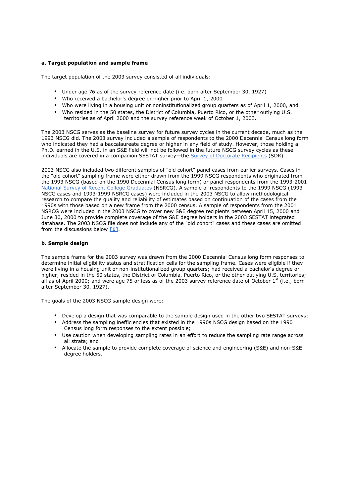#### **a. Target population and sample frame**

The target population of the 2003 survey consisted of all individuals:

- Under age 76 as of the survey reference date (i.e. born after September 30, 1927)
- Who received a bachelor's degree or higher prior to April 1, 2000
- Who were living in a housing unit or noninstitutionalized group quarters as of April 1, 2000, and
- Who resided in the 50 states, the District of Columbia, Puerto Rico, or the other outlying U.S. territories as of April 2000 and the survey reference week of October 1, 2003.

The 2003 NSCG serves as the baseline survey for future survey cycles in the current decade, much as the 1993 NSCG did. The 2003 survey included a sample of respondents to the 2000 Decennial Census long form who indicated they had a baccalaureate degree or higher in any field of study. However, those holding a Ph.D. earned in the U.S. in an S&E field will not be followed in the future NSCG survey cycles as these individuals are covered in a companion SESTAT survey—the Survey of Doctorate Recipients (SDR).

2003 NSCG also included two different samples of "old cohort" panel cases from earlier surveys. Cases in the "old cohort" sampling frame were either drawn from the 1999 NSCG respondents who originated from the 1993 NSCG (based on the 1990 Decennial Census long form) or panel respondents from the 1993-2001 National Survey of Recent College Graduates (NSRCG). A sample of respondents to the 1999 NSCG (1993 NSCG cases and 1993-1999 NSRCG cases) were included in the 2003 NSCG to allow methodological research to compare the quality and reliability of estimates based on continuation of the cases from the 1990s with those based on a new frame from the 2000 census. A sample of respondents from the 2001 NSRCG were included in the 2003 NSCG to cover new S&E degree recipients between April 15, 2000 and June 30, 2000 to provide complete coverage of the S&E degree holders in the 2003 SESTAT integrated database. The 2003 NSCG file does not include any of the "old cohort" cases and these cases are omitted from the discussions below **[1]**.

#### **b. Sample design**

The sample frame for the 2003 survey was drawn from the 2000 Decennial Census long form responses to determine initial eligibility status and stratification cells for the sampling frame. Cases were eligible if they were living in a housing unit or non-institutionalized group quarters; had received a bachelor's degree or higher; resided in the 50 states, the District of Columbia, Puerto Rico, or the other outlying U.S. territories; all as of April 2000; and were age 75 or less as of the 2003 survey reference date of October 1<sup>st</sup> (i.e., born after September 30, 1927).

The goals of the 2003 NSCG sample design were:

- Develop a design that was comparable to the sample design used in the other two SESTAT surveys;
- Address the sampling inefficiencies that existed in the 1990s NSCG design based on the 1990 Census long form responses to the extent possible;
- Use caution when developing sampling rates in an effort to reduce the sampling rate range across all strata; and
- Allocate the sample to provide complete coverage of science and engineering (S&E) and non-S&E degree holders.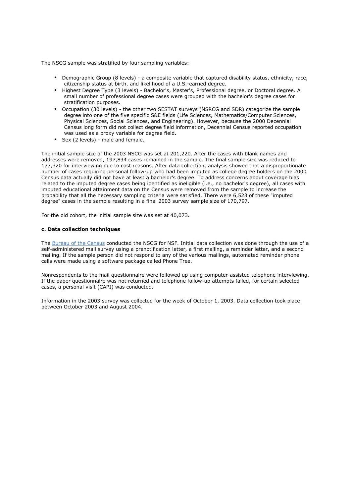The NSCG sample was stratified by four sampling variables:

- Demographic Group (8 levels) a composite variable that captured disability status, ethnicity, race, citizenship status at birth, and likelihood of a U.S.-earned degree.
- Highest Degree Type (3 levels) Bachelor's, Master's, Professional degree, or Doctoral degree. A small number of professional degree cases were grouped with the bachelor's degree cases for stratification purposes.
- Occupation (30 levels) the other two SESTAT surveys (NSRCG and SDR) categorize the sample degree into one of the five specific S&E fields (Life Sciences, Mathematics/Computer Sciences, Physical Sciences, Social Sciences, and Engineering). However, because the 2000 Decennial Census long form did not collect degree field information, Decennial Census reported occupation was used as a proxy variable for degree field.
- Sex (2 levels) male and female.

The initial sample size of the 2003 NSCG was set at 201,220. After the cases with blank names and addresses were removed, 197,834 cases remained in the sample. The final sample size was reduced to 177,320 for interviewing due to cost reasons. After data collection, analysis showed that a disproportionate number of cases requiring personal follow-up who had been imputed as college degree holders on the 2000 Census data actually did not have at least a bachelor's degree. To address concerns about coverage bias related to the imputed degree cases being identified as ineligible (i.e., no bachelor's degree), all cases with imputed educational attainment data on the Census were removed from the sample to increase the probability that all the necessary sampling criteria were satisfied. There were 6,523 of these "imputed degree" cases in the sample resulting in a final 2003 survey sample size of 170,797.

For the old cohort, the initial sample size was set at 40,073.

#### **c. Data collection techniques**

The Bureau of the Census conducted the NSCG for NSF. Initial data collection was done through the use of a self-administered mail survey using a prenotification letter, a first mailing, a reminder letter, and a second mailing. If the sample person did not respond to any of the various mailings, automated reminder phone calls were made using a software package called Phone Tree.

Nonrespondents to the mail questionnaire were followed up using computer-assisted telephone interviewing. If the paper questionnaire was not returned and telephone follow-up attempts failed, for certain selected cases, a personal visit (CAPI) was conducted.

Information in the 2003 survey was collected for the week of October 1, 2003. Data collection took place between October 2003 and August 2004.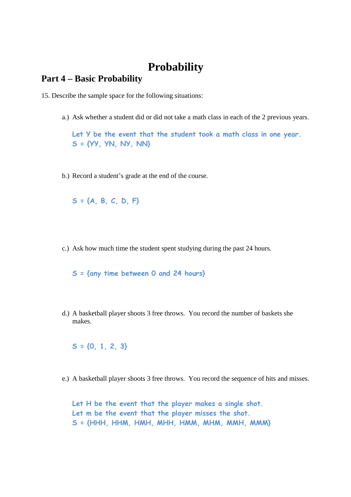# **Probability**

## **Part 4 – Basic Probability**

15. Describe the sample space for the following situations:

a.) Ask whether a student did or did not take a math class in each of the 2 previous years.

**Let Y be the event that the student took a math class in one year. S = {YY, YN, NY, NN}** 

b.) Record a student's grade at the end of the course.

**S = {A, B, C, D, F}**

c.) Ask how much time the student spent studying during the past 24 hours.

**S = {any time between 0 and 24 hours}** 

d.) A basketball player shoots 3 free throws. You record the number of baskets she makes.

**S = {0, 1, 2, 3}** 

e.) A basketball player shoots 3 free throws. You record the sequence of hits and misses.

**Let H be the event that the player makes a single shot. Let m be the event that the player misses the shot. S = {HHH, HHM, HMH, MHH, HMM, MHM, MMH, MMM}**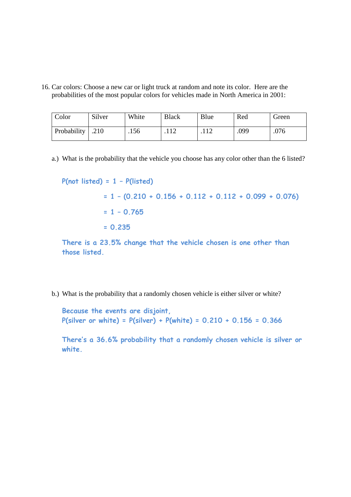16. Car colors: Choose a new car or light truck at random and note its color. Here are the probabilities of the most popular colors for vehicles made in North America in 2001:

| Color              | Silver | White | <b>Black</b> | Blue | Red  | Green |
|--------------------|--------|-------|--------------|------|------|-------|
| Probability   .210 |        | .156  | .112         | .    | .099 | .076  |

a.) What is the probability that the vehicle you choose has any color other than the 6 listed?

```
P(not listed) = 1 – P(listed) 
            = 1 – (0.210 + 0.156 + 0.112 + 0.112 + 0.099 + 0.076) 
             = 1 – 0.765 
             = 0.235
```
**There is a 23.5% change that the vehicle chosen is one other than those listed.** 

b.) What is the probability that a randomly chosen vehicle is either silver or white?

**Because the events are disjoint, P(silver or white) = P(silver) + P(white) = 0.210 + 0.156 = 0.366** 

**There's a 36.6% probability that a randomly chosen vehicle is silver or white.**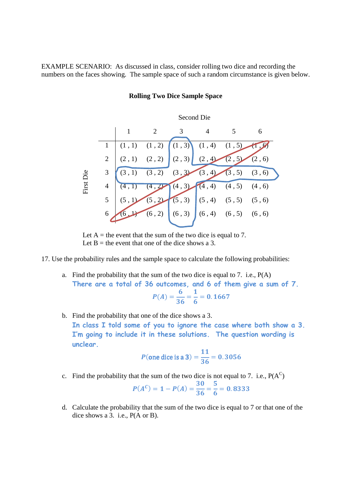EXAMPLE SCENARIO: As discussed in class, consider rolling two dice and recording the numbers on the faces showing. The sample space of such a random circumstance is given below.

# Second Die 1 2 3 4 5 6 First Die  $1 | (1, 1) (1, 2) | (1, 3) (1, 4) (1, 5) (1, 6)$ 2  $(2, 1)$   $(2, 2)$   $(2, 3)$   $(2, 4)$   $(2, 5)$   $(2, 6)$  $3 \binom{(3, 1)}{3, 2} \binom{(3, 3)}{3, 4} \binom{(3, 5)}{3, 6}$ 4  $(4, 1)$   $(4, 2)$   $(4, 3)$   $(4, 4)$   $(4, 5)$   $(4, 6)$  $5 \mid (5, 1) \mid (5, 2) \mid (5, 3) \mid (5, 4) \mid (5, 5) \mid (5, 6)$ 6 (6, 2) (6, 3) (6, 4) (6, 5) (6, 6)

#### **Rolling Two Dice Sample Space**

Let  $A =$  the event that the sum of the two dice is equal to 7. Let  $B =$  the event that one of the dice shows a 3.

17. Use the probability rules and the sample space to calculate the following probabilities:

a. Find the probability that the sum of the two dice is equal to 7. i.e., P(A) **There are a total of 36 outcomes, and 6 of them give a sum of 7.**

$$
P(A) = \frac{6}{36} = \frac{1}{6} = 0.1667
$$

b. Find the probability that one of the dice shows a 3. **In class I told some of you to ignore the case where both show a 3. I'm going to include it in these solutions. The question wording is unclear.** 

$$
P
$$
(one dice is a 3) =  $\frac{11}{36}$  = 0.3056

c. Find the probability that the sum of the two dice is not equal to 7. i.e.,  $P(A^C)$ 

$$
P(A^C) = 1 - P(A) = \frac{30}{36} = \frac{5}{6} = 0.8333
$$

d. Calculate the probability that the sum of the two dice is equal to 7 or that one of the dice shows a 3. i.e., P(A or B).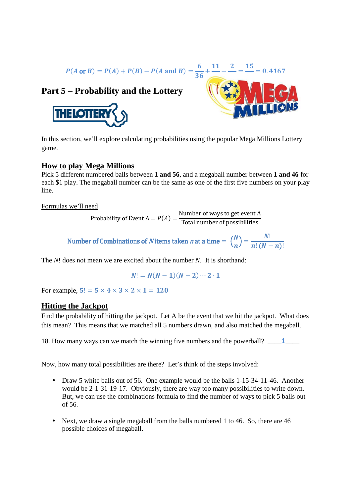$$
P(A \text{ or } B) = P(A) + P(B) - P(A \text{ and } B) = \frac{6}{36} + \frac{11}{26} - \frac{2}{36} = \frac{15}{26} = 0.4167
$$

## **Part 5 – Probability and the Lottery**





In this section, we'll explore calculating probabilities using the popular Mega Millions Lottery game.

### **How to play Mega Millions**

Pick 5 different numbered balls between 1 and 56, and a megaball number between 1 and 46 for each \$1 play. The megaball number can be the same as one of the first five numbers on your play line.

Formulas we'll need

Probability of Event  $A = P(A) = \frac{\text{Number of ways to get event A}}{\text{Total number of possibilities}}$ Number of ways to get event A<br>Total number of possibilities

Number of Combinations of *N* items taken *n* at a time  $= \binom{N}{n} = \frac{N!}{n! (N-n)!}$ 

The *N*! does not mean we are excited about the number *N*. It is shorthand:

$$
N! = N(N-1)(N-2)\cdots 2\cdot 1
$$

For example,  $5! = 5 \times 4 \times 3 \times 2 \times 1 = 120$ 

### **Hitting the Jackpot**

Find the probability of hitting the jackpot. Let A be the event that we hit the jackpot. What does this mean? This means that we matched all 5 numbers drawn, and also matched the megaball. shorthand:<br>1<br>hat we hit the jackpot. What do<br>nd also matched the megaball.

18. How many ways can we match the winning five numbers and the powerball?  $\_\_\_\_1$ 

Now, how many total possibilities are there? Let's think of the steps involved:

- w, how many total possibilities are there? Let's think of the steps involved:<br>● Draw 5 white balls out of 56. One example would be the balls 1-15-34-11-46. Another would be 2-1-31-19-17. Obviously, there are way too many possibilities to write down. But, we can use the combinations formula to find the number of ways to pick 5 balls out of 56. ny ways can we match the winning five numbers and the power<br>hany total possibilities are there? Let's think of the steps involved we to 5 white balls out of 56. One example would be the balls 1-15 1-19-17. Obviously, there are way too many possibilities to write do the combinations formula to find the number of ways to pick 5 ball a single megaball from the balls numbered 1 to 46. So, there are 46
- Next, we draw a single megaball from the balls numbered 1 to 46. So, there are 46 possible choices of megaball.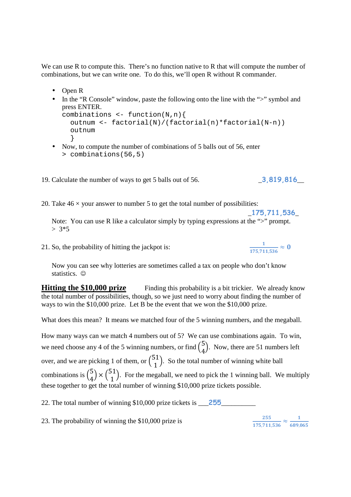We can use R to compute this. There's no function native to R that will compute the number of combinations, but we can write one. To do this, we'll open R without R commander.

- Open R
- In the "R Console" window, paste the following onto the line with the ">" symbol and press ENTER.

```
combinations \leq -\text{function}(N,n) outnum <- factorial(N)/(factorial(n)*factorial(N-n)) 
   outnum 
   }
```
• Now, to compute the number of combinations of 5 balls out of 56, enter > combinations(56,5)

19. Calculate the number of ways to get 5 balls out of 56. \_**3,819,816**\_\_

20. Take  $46 \times$  your answer to number 5 to get the total number of possibilities:

 \_**175,711,536**\_ Note: You can use R like a calculator simply by typing expressions at the ">" prompt.  $> 3*5$ 

21. So, the probability of hitting the jackpot is:

Now you can see why lotteries are sometimes called a tax on people who don't know statistics.  $©$ 

**Hitting the \$10,000 prize** Finding this probability is a bit trickier. We already know the total number of possibilities, though, so we just need to worry about finding the number of ways to win the \$10,000 prize. Let B be the event that we won the \$10,000 prize.

What does this mean? It means we matched four of the 5 winning numbers, and the megaball.

How many ways can we match 4 numbers out of 5? We can use combinations again. To win, we need choose any 4 of the 5 winning numbers, or find  $\binom{5}{4}$  $\binom{5}{4}$ . Now, there are 51 numbers left over, and we are picking 1 of them, or  $\binom{51}{1}$  $\binom{11}{1}$ . So the total number of winning white ball combinations is  $\binom{5}{4}$  $\binom{5}{4}$  ×  $\binom{51}{1}$ . For the megaball, we need to pick the 1 winning ball. We multiply these together to get the total number of winning \$10,000 prize tickets possible.

22. The total number of winning \$10,000 prize tickets is **255** 

23. The probability of winning the \$10,000 prize is

**255**  $\frac{255}{175{,}711{,}536} \approx \frac{1}{689{,}0}$ <mark>689,065</mark>

 $\frac{1}{175,711,536} \approx 0$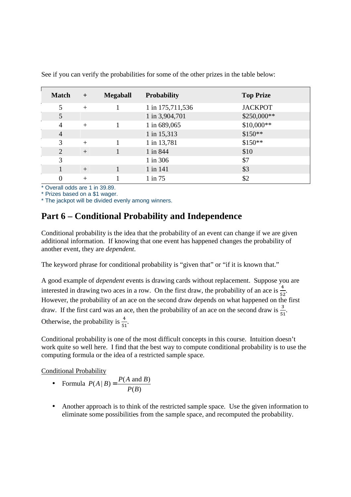| <b>Match</b>                | $+$    | <b>Megaball</b> | <b>Probability</b> | <b>Top Prize</b> |
|-----------------------------|--------|-----------------|--------------------|------------------|
| 5                           | $+$    |                 | 1 in 175,711,536   | <b>JACKPOT</b>   |
| 5                           |        |                 | 1 in 3,904,701     | \$250,000**      |
| 4                           | $+$    |                 | 1 in 689,065       | \$10,000**       |
| $\overline{4}$              |        |                 | 1 in 15,313        | $$150**$         |
| 3                           | $+$    |                 | 1 in 13,781        | $$150**$         |
| $\mathcal{D}_{\mathcal{L}}$ | $+$    |                 | 1 in 844           | \$10             |
| 3                           |        |                 | 1 in 306           | \$7              |
|                             | $^{+}$ |                 | 1 in 141           | \$3              |
| $\Omega$                    | $+$    |                 | $1$ in $75$        | \$2              |

See if you can verify the probabilities for some of the other prizes in the table below:

\* Overall odds are 1 in 39.89.

\* Prizes based on a \$1 wager.

\* The jackpot will be divided evenly among winners.

# **Part 6 – Conditional Probability and Independence**

Conditional probability is the idea that the probability of an event can change if we are given additional information. If knowing that one event has happened changes the probability of another event, they are *dependent*.

The keyword phrase for conditional probability is "given that" or "if it is known that."

A good example of *dependent* events is drawing cards without replacement. Suppose you are interested in drawing two aces in a row. On the first draw, the probability of an ace is  $\frac{4}{52}$ . However, the probability of an ace on the second draw depends on what happened on the first draw. If the first card was an ace, then the probability of an ace on the second draw is  $\frac{3}{51}$ .

Otherwise, the probability is  $\frac{4}{51}$ .

Conditional probability is one of the most difficult concepts in this course. Intuition doesn't work quite so well here. I find that the best way to compute conditional probability is to use the computing formula or the idea of a restricted sample space.

Conditional Probability

- Formula  $P(A | B) = \frac{P(A \text{ and } B)}{P(B)}$  $(B)$  $P(A | B) = \frac{P(A \text{ and } B)}{P(B)}$  $P(B)$ =
- Another approach is to think of the restricted sample space. Use the given information to eliminate some possibilities from the sample space, and recomputed the probability.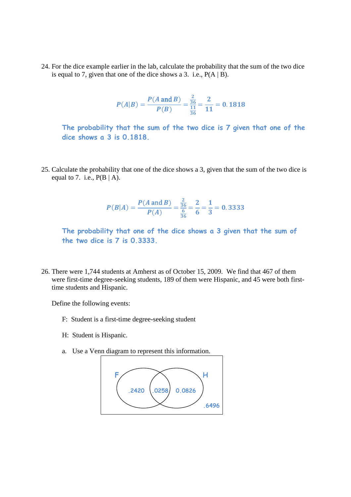24. For the dice example earlier in the lab, calculate the probability that the sum of the two dice is equal to 7, given that one of the dice shows a 3. i.e.,  $P(A | B)$ .

$$
P(A|B) = \frac{P(A \text{ and } B)}{P(B)} = \frac{\frac{2}{36}}{\frac{11}{36}} = \frac{2}{11} = 0.1818
$$

**The probability that the sum of the two dice is 7 given that one of the dice shows a 3 is 0.1818.** 

25. Calculate the probability that one of the dice shows a 3, given that the sum of the two dice is equal to 7. i.e.,  $P(B | A)$ .

$$
P(B|A) = \frac{P(A \text{ and } B)}{P(A)} = \frac{\frac{2}{36}}{\frac{6}{36}} = \frac{2}{6} = \frac{1}{3} = 0.33333
$$

**The probability that one of the dice shows a 3 given that the sum of the two dice is 7 is 0.3333.** 

26. There were 1,744 students at Amherst as of October 15, 2009. We find that 467 of them were first-time degree-seeking students, 189 of them were Hispanic, and 45 were both firsttime students and Hispanic.

Define the following events:

- F: Student is a first-time degree-seeking student
- H: Student is Hispanic.
- a. Use a Venn diagram to represent this information.

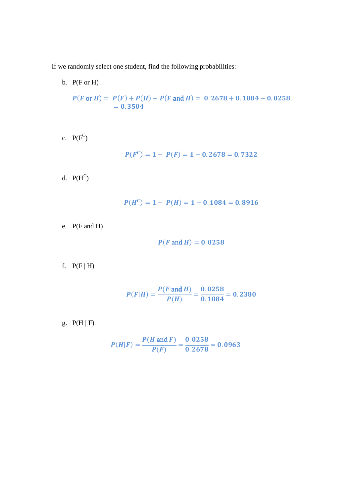If we randomly select one student, find the following probabilities:

- b.  $P(F \text{ or } H)$  $P(F \text{ or } H) = P(F) + P(H) - P(F \text{ and } H) = 0.2678 + 0.1084 - 0.0258$  $= 0.3504$
- c.  $P(F^C)$

$$
P(F^C) = 1 - P(F) = 1 - 0.2678 = 0.7322
$$

d.  $P(H^C)$ 

$$
P(H^C) = 1 - P(H) = 1 - 0.1084 = 0.8916
$$

e. P(F and H)

$$
P(F \text{ and } H) = 0.0258
$$

f.  $P(F | H)$ 

$$
P(F|H) = \frac{P(F \text{ and } H)}{P(H)} = \frac{0.0258}{0.1084} = 0.2380
$$

g.  $P(H | F)$ 

$$
P(H|F) = \frac{P(H \text{ and } F)}{P(F)} = \frac{0.0258}{0.2678} = 0.0963
$$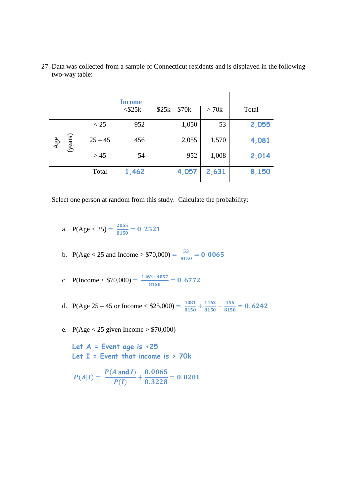27. Data was collected from a sample of Connecticut residents and is displayed in the following two-way table:

|                |           | <b>Income</b><br>$<$ \$25 $k$ | $$25k - $70k$ | > 70k | Total |
|----------------|-----------|-------------------------------|---------------|-------|-------|
|                | < 25      | 952                           | 1,050         | 53    | 2,055 |
| (years)<br>Age | $25 - 45$ | 456                           | 2,055         | 1,570 | 4,081 |
|                | > 45      | 54                            | 952           | 1,008 | 2,014 |
|                | Total     | 1,462                         | 4,057         | 2,631 | 8,150 |

Select one person at random from this study. Calculate the probability:

a.  $P(Age < 25) = \frac{2055}{8150} = 0.2521$ 

b. P(Age < 25 and Income > \$70,000) =  $\frac{53}{8150}$  = 0.0065

- c. P(Income < \$70,000) =  $\frac{1462+4057}{8150}$  $\frac{2+100!}{8150} = 0.6772$
- d. P(Age 25 45 or Income < \$25,000) =  $\frac{4081}{8150}$  $\frac{4081}{8150}+\frac{1462}{8150}$  $\frac{1462}{8150} - \frac{456}{8150}$  $\frac{188}{8150}$  = 0.6242
- e.  $P(Age < 25$  given Income > \$70,000)

**Let A = Event age is <25 Let I = Event that income is > 70k** 

$$
P(A|I) = \frac{P(A \text{ and } I)}{P(I)} + \frac{0.0065}{0.3228} = 0.0201
$$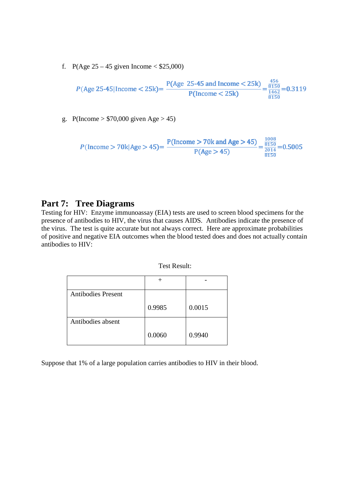f. P(Age  $25 - 45$  given Income < \$25,000)

$$
P(\text{Age } 25-45 | \text{ Income} < 25 \text{k}) = \frac{P(\text{Age } 25-45 \text{ and Income} < 25 \text{k})}{P(\text{income} < 25 \text{k})} = \frac{\frac{456}{8150}}{\frac{1462}{8150}} = 0.3119
$$

g. P(Income >  $$70,000$  given Age > 45)

$$
P(\text{Income} > 70 \text{k} | \text{Age} > 45) = \frac{P(\text{Income} > 70 \text{k} \text{ and } \text{Age} > 45)}{P(\text{Age} > 45)} = \frac{\frac{1008}{8150}}{\frac{2014}{8150}} = 0.5005
$$

## **Part 7: Tree Diagrams**

Testing for HIV: Enzyme immunoassay (EIA) tests are used to screen blood specimens for the presence of antibodies to HIV, the virus that causes AIDS. Antibodies indicate the presence of the virus. The test is quite accurate but not always correct. Here are approximate probabilities of positive and negative EIA outcomes when the blood tested does and does not actually contain antibodies to HIV:

| <b>Antibodies Present</b> |        |        |
|---------------------------|--------|--------|
|                           | 0.9985 | 0.0015 |
| Antibodies absent         |        |        |
|                           | 0.0060 | 0.9940 |

Suppose that 1% of a large population carries antibodies to HIV in their blood.